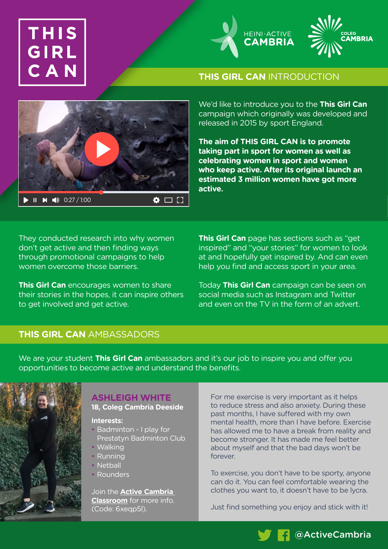# THIS G





**THIS GIRL CAN** INTRODUCTION

We'd like to introduce you to the **This Girl Can** campaign which originally was developed and released in 2015 by sport England.

**The aim of THIS GIRL CAN is to promote taking part in sport for women as well as celebrating women in sport and women who keep active. After its original launch an estimated 3 million women have got more active.**

They conducted research into why women don't get active and then finding ways through promotional campaigns to help women overcome those barriers.

**This Girl Can** encourages women to share their stories in the hopes, it can inspire others to get involved and get active.

**This Girl Can** page has sections such as "get inspired" and "your stories" for women to look at and hopefully get inspired by. And can even help you find and access sport in your area.

Today **This Girl Can** campaign can be seen on social media such as Instagram and Twitter and even on the TV in the form of an advert.

# **THIS GIRL CAN** AMBASSADORS

We are your student **This Girl Can** ambassadors and it's our job to inspire you and offer you opportunities to become active and understand the benefits.



## **ASHLEIGH WHITE 18, Coleg Cambria Deeside**

**Interests:**

- Badminton I play for Prestatyn Badminton Club
- Walking
- Running
- Netball
- Rounders

Join the **[Active Cambria](https://classroom.google.com/c/Mjc5NzkxMjgyODQy?cjc=6xeqp5l)  [Classroom](https://classroom.google.com/c/Mjc5NzkxMjgyODQy?cjc=6xeqp5l)** for more info. (Code: 6xeqp5l).

For me exercise is very important as it helps to reduce stress and also anxiety. During these past months, I have suffered with my own mental health, more than I have before. Exercise has allowed me to have a break from reality and become stronger. It has made me feel better about myself and that the bad days won't be forever.

To exercise, you don't have to be sporty, anyone can do it. You can feel comfortable wearing the clothes you want to, it doesn't have to be lycra.

Just find something you enjoy and stick with it!

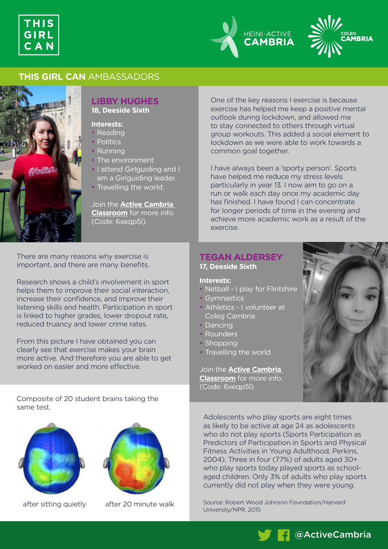





## **THIS GIRL CAN** AMBASSADORS



# **LIBBY HUGHES**

**18, Deeside Sixth**

- **Interests:**
- Reading
- Politics
- Running
- The environment
- I attend Girlguiding and I am a Girlguiding leader.
- Travelling the world.

Join the **[Active Cambria](https://classroom.google.com/c/Mjc5NzkxMjgyODQy?cjc=6xeqp5l)  [Classroom](https://classroom.google.com/c/Mjc5NzkxMjgyODQy?cjc=6xeqp5l)** for more info. (Code: 6xeqp5l).

There are many reasons why exercise is important, and there are many benefits.

Research shows a child's involvement in sport helps them to improve their social interaction, increase their confidence, and improve their listening skills and health. Participation in sport is linked to higher grades, lower dropout rate, reduced truancy and lower crime rates.

From this picture I have obtained you can clearly see that exercise makes your brain more active. And therefore you are able to get worked on easier and more effective.

Composite of 20 student brains taking the same test.





after sitting quietly after 20 minute walk

One of the key reasons I exercise is because exercise has helped me keep a positive mental outlook during lockdown, and allowed me to stay connected to others through virtual group workouts. This added a social element to lockdown as we were able to work towards a common goal together.

I have always been a 'sporty person'. Sports have helped me reduce my stress levels particularly in year 13. I now aim to go on a run or walk each day once my academic day has finished. I have found I can concentrate for longer periods of time in the evening and achieve more academic work as a result of the exercise.

# **TEGAN ALDERSEY 17, Deeside Sixth**

### **Interests:**

- Netball I play for Flintshire
- Gymnastics
- Athletics I volunteer at Coleg Cambria
- Dancing
- Rounders
- Shopping
- Travelling the world

Join the **[Active Cambria](https://classroom.google.com/c/Mjc5NzkxMjgyODQy?cjc=6xeqp5l)  [Classroom](https://classroom.google.com/c/Mjc5NzkxMjgyODQy?cjc=6xeqp5l)** for more info. (Code: 6xeqp5l).



Adolescents who play sports are eight times as likely to be active at age 24 as adolescents who do not play sports (Sports Participation as Predictors of Participation in Sports and Physical Fitness Activities in Young Adulthood, Perkins, 2004). Three in four (77%) of adults aged 30+ who play sports today played sports as schoolaged children. Only 3% of adults who play sports currently did not play when they were young.

Source: Robert Wood Johnson Foundation/Harvard University/NPR, 2015